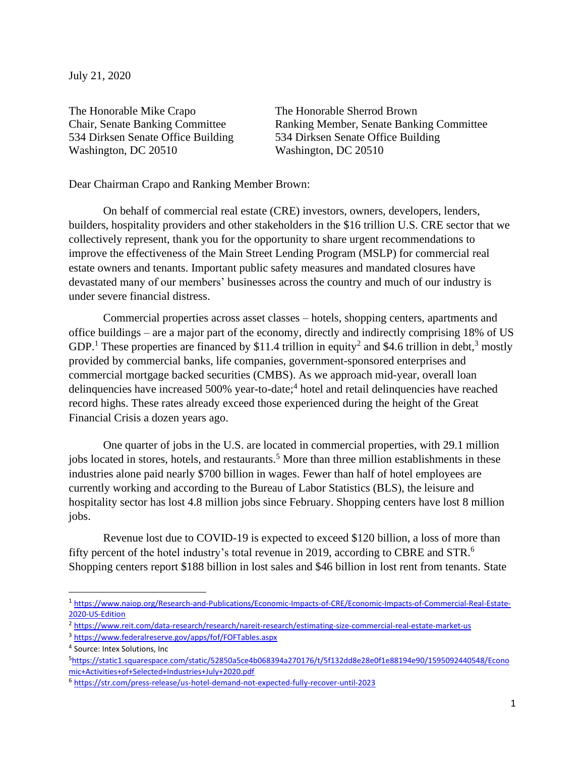July 21, 2020

The Honorable Mike Crapo The Honorable Sherrod Brown Washington, DC 20510 Washington, DC 20510

Chair, Senate Banking Committee Ranking Member, Senate Banking Committee 534 Dirksen Senate Office Building 534 Dirksen Senate Office Building

Dear Chairman Crapo and Ranking Member Brown:

On behalf of commercial real estate (CRE) investors, owners, developers, lenders, builders, hospitality providers and other stakeholders in the \$16 trillion U.S. CRE sector that we collectively represent, thank you for the opportunity to share urgent recommendations to improve the effectiveness of the Main Street Lending Program (MSLP) for commercial real estate owners and tenants. Important public safety measures and mandated closures have devastated many of our members' businesses across the country and much of our industry is under severe financial distress.

Commercial properties across asset classes – hotels, shopping centers, apartments and office buildings – are a major part of the economy, directly and indirectly comprising 18% of US GDP.<sup>1</sup> These properties are financed by \$11.4 trillion in equity<sup>2</sup> and \$4.6 trillion in debt,<sup>3</sup> mostly provided by commercial banks, life companies, government-sponsored enterprises and commercial mortgage backed securities (CMBS). As we approach mid-year, overall loan delinquencies have increased 500% year-to-date; 4 hotel and retail delinquencies have reached record highs. These rates already exceed those experienced during the height of the Great Financial Crisis a dozen years ago.

One quarter of jobs in the U.S. are located in commercial properties, with 29.1 million jobs located in stores, hotels, and restaurants. <sup>5</sup> More than three million establishments in these industries alone paid nearly \$700 billion in wages. Fewer than half of hotel employees are currently working and according to the Bureau of Labor Statistics (BLS), the leisure and hospitality sector has lost 4.8 million jobs since February. Shopping centers have lost 8 million jobs.

Revenue lost due to COVID-19 is expected to exceed \$120 billion, a loss of more than fifty percent of the hotel industry's total revenue in 2019, according to CBRE and STR.<sup>6</sup> Shopping centers report \$188 billion in lost sales and \$46 billion in lost rent from tenants. State

<sup>1</sup> [https://www.naiop.org/Research-and-Publications/Economic-Impacts-of-CRE/Economic-Impacts-of-Commercial-Real-Estate-](https://linkprotect.cudasvc.com/url?a=https%3a%2f%2fwww.naiop.org%2fResearch-and-Publications%2fEconomic-Impacts-of-CRE%2fEconomic-Impacts-of-Commercial-Real-Estate-2020-US-Edition&c=E,1,Kz_cjLodfW_-NgfIZWiJJPhyoK3YGJaFzuod7mk-s22LM9BGomm3_62qGWwNRN6FSH5YA9IFSoDNM4H7CLfkEgS_REF1uFK2eXQhfstuqBzrETABL8SH&typo=1)[2020-US-Edition](https://linkprotect.cudasvc.com/url?a=https%3a%2f%2fwww.naiop.org%2fResearch-and-Publications%2fEconomic-Impacts-of-CRE%2fEconomic-Impacts-of-Commercial-Real-Estate-2020-US-Edition&c=E,1,Kz_cjLodfW_-NgfIZWiJJPhyoK3YGJaFzuod7mk-s22LM9BGomm3_62qGWwNRN6FSH5YA9IFSoDNM4H7CLfkEgS_REF1uFK2eXQhfstuqBzrETABL8SH&typo=1)

<sup>2</sup> <https://www.reit.com/data-research/research/nareit-research/estimating-size-commercial-real-estate-market-us>

<sup>3</sup> <https://www.federalreserve.gov/apps/fof/FOFTables.aspx>

<sup>&</sup>lt;sup>4</sup> Source: Intex Solutions, Inc

<sup>5</sup>[https://static1.squarespace.com/static/52850a5ce4b068394a270176/t/5f132dd8e28e0f1e88194e90/1595092440548/Econo](https://static1.squarespace.com/static/52850a5ce4b068394a270176/t/5f132dd8e28e0f1e88194e90/1595092440548/Economic+Activities+of+Selected+Industries+July+2020.pdf) [mic+Activities+of+Selected+Industries+July+2020.pdf](https://static1.squarespace.com/static/52850a5ce4b068394a270176/t/5f132dd8e28e0f1e88194e90/1595092440548/Economic+Activities+of+Selected+Industries+July+2020.pdf)

<sup>6</sup> <https://str.com/press-release/us-hotel-demand-not-expected-fully-recover-until-2023>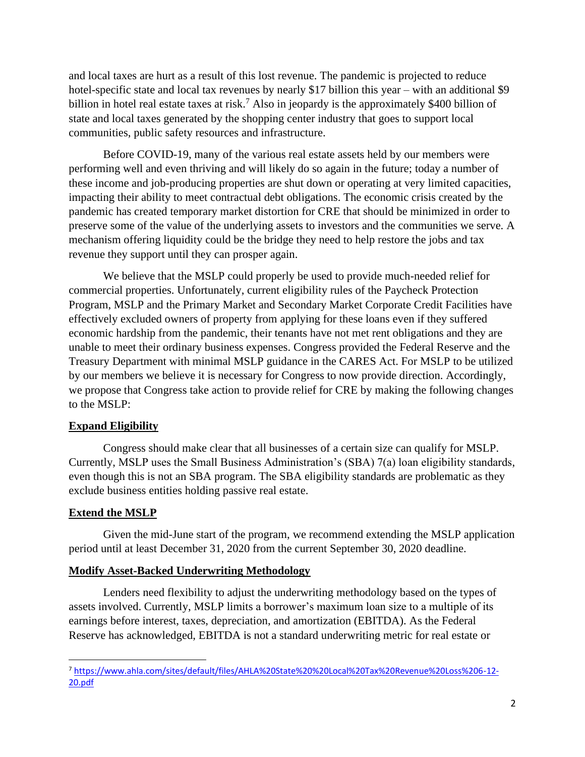and local taxes are hurt as a result of this lost revenue. The pandemic is projected to reduce hotel-specific state and local tax revenues by nearly \$17 billion this year – with an additional \$9 billion in hotel real estate taxes at risk.<sup>7</sup> Also in jeopardy is the approximately \$400 billion of state and local taxes generated by the shopping center industry that goes to support local communities, public safety resources and infrastructure.

Before COVID-19, many of the various real estate assets held by our members were performing well and even thriving and will likely do so again in the future; today a number of these income and job-producing properties are shut down or operating at very limited capacities, impacting their ability to meet contractual debt obligations. The economic crisis created by the pandemic has created temporary market distortion for CRE that should be minimized in order to preserve some of the value of the underlying assets to investors and the communities we serve. A mechanism offering liquidity could be the bridge they need to help restore the jobs and tax revenue they support until they can prosper again.

We believe that the MSLP could properly be used to provide much-needed relief for commercial properties. Unfortunately, current eligibility rules of the Paycheck Protection Program, MSLP and the Primary Market and Secondary Market Corporate Credit Facilities have effectively excluded owners of property from applying for these loans even if they suffered economic hardship from the pandemic, their tenants have not met rent obligations and they are unable to meet their ordinary business expenses. Congress provided the Federal Reserve and the Treasury Department with minimal MSLP guidance in the CARES Act. For MSLP to be utilized by our members we believe it is necessary for Congress to now provide direction. Accordingly, we propose that Congress take action to provide relief for CRE by making the following changes to the MSLP:

## **Expand Eligibility**

Congress should make clear that all businesses of a certain size can qualify for MSLP. Currently, MSLP uses the Small Business Administration's (SBA) 7(a) loan eligibility standards, even though this is not an SBA program. The SBA eligibility standards are problematic as they exclude business entities holding passive real estate.

# **Extend the MSLP**

Given the mid-June start of the program, we recommend extending the MSLP application period until at least December 31, 2020 from the current September 30, 2020 deadline.

## **Modify Asset-Backed Underwriting Methodology**

Lenders need flexibility to adjust the underwriting methodology based on the types of assets involved. Currently, MSLP limits a borrower's maximum loan size to a multiple of its earnings before interest, taxes, depreciation, and amortization (EBITDA). As the Federal Reserve has acknowledged, EBITDA is not a standard underwriting metric for real estate or

<sup>7</sup> [https://www.ahla.com/sites/default/files/AHLA%20State%20%20Local%20Tax%20Revenue%20Loss%206-12-](https://www.ahla.com/sites/default/files/AHLA%20State%20%20Local%20Tax%20Revenue%20Loss%206-12-20.pdf) [20.pdf](https://www.ahla.com/sites/default/files/AHLA%20State%20%20Local%20Tax%20Revenue%20Loss%206-12-20.pdf)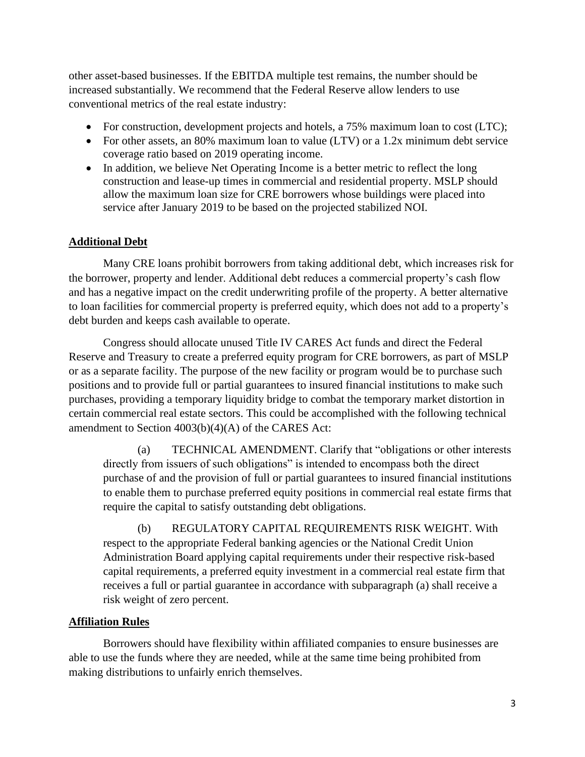other asset-based businesses. If the EBITDA multiple test remains, the number should be increased substantially. We recommend that the Federal Reserve allow lenders to use conventional metrics of the real estate industry:

- For construction, development projects and hotels, a 75% maximum loan to cost (LTC);
- For other assets, an 80% maximum loan to value (LTV) or a 1.2x minimum debt service coverage ratio based on 2019 operating income.
- In addition, we believe Net Operating Income is a better metric to reflect the long construction and lease-up times in commercial and residential property. MSLP should allow the maximum loan size for CRE borrowers whose buildings were placed into service after January 2019 to be based on the projected stabilized NOI.

## **Additional Debt**

Many CRE loans prohibit borrowers from taking additional debt, which increases risk for the borrower, property and lender. Additional debt reduces a commercial property's cash flow and has a negative impact on the credit underwriting profile of the property. A better alternative to loan facilities for commercial property is preferred equity, which does not add to a property's debt burden and keeps cash available to operate.

Congress should allocate unused Title IV CARES Act funds and direct the Federal Reserve and Treasury to create a preferred equity program for CRE borrowers, as part of MSLP or as a separate facility. The purpose of the new facility or program would be to purchase such positions and to provide full or partial guarantees to insured financial institutions to make such purchases, providing a temporary liquidity bridge to combat the temporary market distortion in certain commercial real estate sectors. This could be accomplished with the following technical amendment to Section 4003(b)(4)(A) of the CARES Act:

(a) TECHNICAL AMENDMENT. Clarify that "obligations or other interests directly from issuers of such obligations" is intended to encompass both the direct purchase of and the provision of full or partial guarantees to insured financial institutions to enable them to purchase preferred equity positions in commercial real estate firms that require the capital to satisfy outstanding debt obligations.

(b) REGULATORY CAPITAL REQUIREMENTS RISK WEIGHT. With respect to the appropriate Federal banking agencies or the National Credit Union Administration Board applying capital requirements under their respective risk-based capital requirements, a preferred equity investment in a commercial real estate firm that receives a full or partial guarantee in accordance with subparagraph (a) shall receive a risk weight of zero percent.

## **Affiliation Rules**

Borrowers should have flexibility within affiliated companies to ensure businesses are able to use the funds where they are needed, while at the same time being prohibited from making distributions to unfairly enrich themselves.